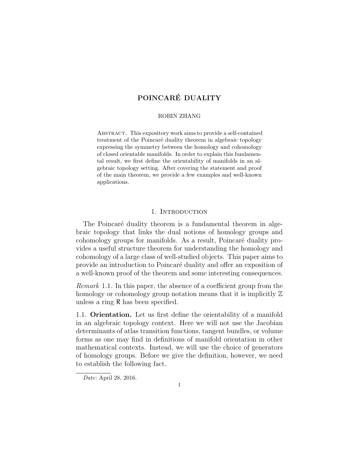#### ROBIN ZHANG

Abstract. This expository work aims to provide a self-contained treatment of the Poincaré duality theorem in algebraic topology expressing the symmetry between the homology and cohomology of closed orientable manifolds. In order to explain this fundamental result, we first define the orientability of manifolds in an algebraic topology setting. After covering the statement and proof of the main theorem, we provide a few examples and well-known applications.

# 1. INTRODUCTION

The Poincaré duality theorem is a fundamental theorem in algebraic topology that links the dual notions of homology groups and cohomology groups for manifolds. As a result, Poincaré duality provides a useful structure theorem for understanding the homology and cohomology of a large class of well-studied objects. This paper aims to provide an introduction to Poincaré duality and offer an exposition of a well-known proof of the theorem and some interesting consequences.

Remark 1.1. In this paper, the absence of a coefficient group from the homology or cohomology group notation means that it is implicitly  $\mathbb Z$ unless a ring R has been specified.

1.1. Orientation. Let us first define the orientability of a manifold in an algebraic topology context. Here we will not use the Jacobian determinants of atlas transition functions, tangent bundles, or volume forms as one may find in definitions of manifold orientation in other mathematical contexts. Instead, we will use the choice of generators of homology groups. Before we give the definition, however, we need to establish the following fact.

Date: April 28, 2016.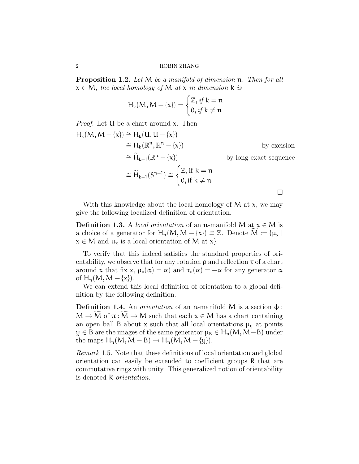<span id="page-1-0"></span>Proposition 1.2. Let M be a manifold of dimension n. Then for all  $x \in M$ , the local homology of M at x in dimension k is

$$
H_k(M, M - \{x\}) = \begin{cases} \mathbb{Z}, \text{if } k = n \\ 0, \text{if } k \neq n \end{cases}
$$

Proof. Let U be a chart around x. Then

$$
H_k(M, M - \{x\}) \cong H_k(U, U - \{x\})
$$
  
\n
$$
\cong H_k(\mathbb{R}^n, \mathbb{R}^n - \{x\})
$$
by excision  
\n
$$
\cong \widetilde{H}_{k-1}(\mathbb{R}^n - \{x\})
$$
by long exact sequence  
\n
$$
\cong \widetilde{H}_{k-1}(S^{n-1}) \cong \begin{cases} \mathbb{Z}, \text{if } k = n \\ 0, \text{if } k \neq n \end{cases}
$$

With this knowledge about the local homology of  $M$  at  $x$ , we may give the following localized definition of orientation.

**Definition 1.3.** A *local orientation* of an n-manifold M at  $x \in M$  is a choice of a generator for  $H_n(M, M - \{x\}) \cong \mathbb{Z}$ . Denote  $M := {\mu_x \mid \mu_x$  $x \in M$  and  $\mu_x$  is a local orientation of M at x.

To verify that this indeed satisfies the standard properties of orientability, we observe that for any rotation  $\rho$  and reflection  $\tau$  of a chart around x that fix x,  $\rho_*(\alpha) = \alpha$  and  $\tau_*(\alpha) = -\alpha$  for any generator  $\alpha$ of  $H_n(M, M - \{x\})$ .

We can extend this local definition of orientation to a global definition by the following definition.

Definition 1.4. An *orientation* of an n-manifold M is a section  $\phi$ :  $M \to M$  of  $\pi : M \to M$  such that each  $x \in M$  has a chart containing an open ball B about x such that all local orientations  $\mu_{\nu}$  at points  $y \in B$  are the images of the same generator  $\mu_B \in H_n(M, M-B)$  under the maps  $H_n(M, M - B) \to H_n(M, M - \{y\}).$ 

Remark 1.5. Note that these definitions of local orientation and global orientation can easily be extended to coefficient groups R that are commutative rings with unity. This generalized notion of orientability is denoted R-orientation.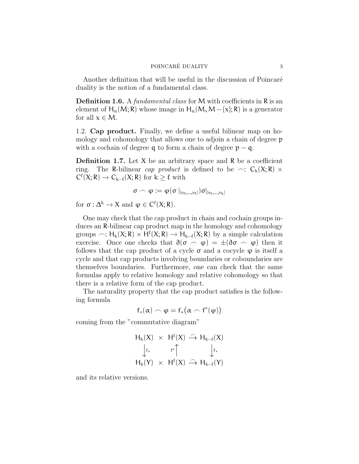Another definition that will be useful in the discussion of Poincaré duality is the notion of a fundamental class.

**Definition 1.6.** A *fundamental class* for M with coefficients in R is an element of H<sub>n</sub>(M; R) whose image in H<sub>n</sub>(M, M –{x}; R) is a generator for all  $x \in M$ .

1.2. Cap product. Finally, we define a useful bilinear map on homology and cohomology that allows one to adjoin a chain of degree  $p$ with a cochain of degree q to form a chain of degree  $p - q$ .

**Definition 1.7.** Let  $X$  be an arbitrary space and  $R$  be a coefficient ring. The R-bilinear cap product is defined to be  $\sim$ :  $C_k(X; R) \times$  $C^{\ell}(X; R) \to C_{k-\ell}(X; R)$  for  $k \geq \ell$  with

$$
\sigma\frown \phi:=\phi(\sigma\left.\right|_{[\nu_0,\ldots,\nu_\ell]})\sigma\vert_{[\nu_\ell,\ldots,\nu_k]}
$$

for  $\sigma : \Delta^k \to X$  and  $\varphi \in C^{\ell}(X; R)$ .

One may check that the cap product in chain and cochain groups induces an R-bilinear cap product map in the homology and cohomology groups  $\sim: H_k(X; R) \times H^{\ell}(X; R) \rightarrow H_{k-\ell}(X; R)$  by a simple calculation<br>exercise. Once are sheely that  $\partial(\pi, \kappa)$  if  $(\partial \pi, \kappa)$  then it exercise. Once one checks that  $\partial(\sigma \frown \varphi) = \pm(\partial \sigma \frown \varphi)$  then it follows that the cap product of a cycle  $\sigma$  and a cocycle  $\varphi$  is itself a cycle and that cap products involving boundaries or coboundaries are themselves boundaries. Furthermore, one can check that the same formulas apply to relative homology and relative cohomology so that there is a relative form of the cap product.

The naturality property that the cap product satisfies is the following formula

$$
f_*(\alpha) \frown \phi = f_*(\alpha \frown f^*(\phi))
$$

coming from the "commutative diagram"

$$
\begin{array}{ccc}H_k(X) & \times & H^{\ell}(X) \,\stackrel{\frown}{\longrightarrow}\, H_{k-\ell}(X)\\ \downarrow_{f_*} & & \uparrow^*\uparrow & & \downarrow_{f_*}\\ H_k(Y) & \times & H^{\ell}(X) \,\stackrel{\frown}{\longrightarrow}\, H_{k-\ell}(Y) \end{array}
$$

and its relative versions.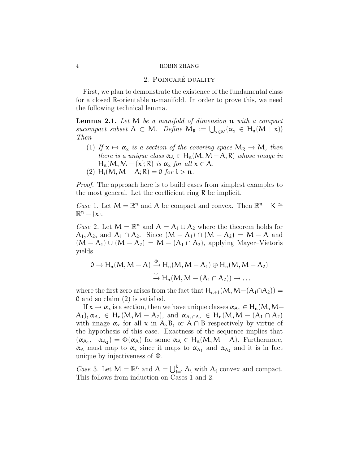## 2. POINCARÉ DUALITY

First, we plan to demonstrate the existence of the fundamental class for a closed R-orientable n-manifold. In order to prove this, we need the following technical lemma.

<span id="page-3-0"></span>**Lemma 2.1.** Let  $M$  be a manifold of dimension  $n$  with a compact sucompact subset  $A \subset M$ . Define  $M_R := \bigcup_{x \in M} \{\alpha_x \in H_n(M \mid x)\}$ Then

(1) If  $x \mapsto \alpha_x$  is a section of the covering space  $M_R \to M$ , then there is a unique class  $\alpha_A \in H_n(M, M-A; R)$  whose image in  $H_n(M, M - \{x\}; R)$  is  $\alpha_x$  for all  $x \in A$ . (2) H<sub>i</sub>(M, M – A; R) = 0 for  $i > n$ .

*Proof.* The approach here is to build cases from simplest examples to the most general. Let the coefficient ring R be implicit.

*Case* 1. Let  $M = \mathbb{R}^n$  and A be compact and convex. Then  $\mathbb{R}^n - K \cong$  $\mathbb{R}^n - {\chi}.$ 

*Case* 2. Let  $M = \mathbb{R}^n$  and  $A = A_1 \cup A_2$  where the theorem holds for  $A_1, A_2$ , and  $A_1 \cap A_2$ . Since  $(M - A_1) \cap (M - A_2) = M - A$  and  $(M - A_1) \cup (M - A_2) = M - (A_1 \cap A_2)$ , applying Mayer–Vietoris yields

$$
0 \to H_n(M, M-A) \xrightarrow{\Phi} H_n(M, M-A_1) \oplus H_n(M, M-A_2)
$$
  

$$
\xrightarrow{\Psi} H_n(M, M-(A_1 \cap A_2)) \to \dots
$$

where the first zero arises from the fact that  $H_{n+1}(M, M-(A_1 \cap A_2)) =$ 0 and so claim (2) is satisfied.

If  $x \mapsto \alpha_x$  is a section, then we have unique classes  $\alpha_{A_1} \in H_n(M,M A_1$ ,  $\alpha_{A_2} \in H_n(M, M - A_2)$ , and  $\alpha_{A_1 \cap A_2} \in H_n(M, M - (A_1 \cap A_2))$ with image  $\alpha_x$  for all x in A, B, or A ∩ B respectively by virtue of the hypothesis of this case. Exactness of the sequence implies that  $(\alpha_{A_1}, -\alpha_{A_2}) = \Phi(\alpha_A)$  for some  $\alpha_A \in H_n(M, M - A)$ . Furthermore,  $\alpha_A$  must map to  $\alpha_x$  since it maps to  $\alpha_{A_1}$  and  $\alpha_{A_2}$  and it is in fact unique by injectiveness of Φ.

*Case* 3. Let  $M = \mathbb{R}^n$  and  $A = \bigcup_{i=1}^k A_i$  with  $A_i$  convex and compact. This follows from induction on Cases 1 and 2.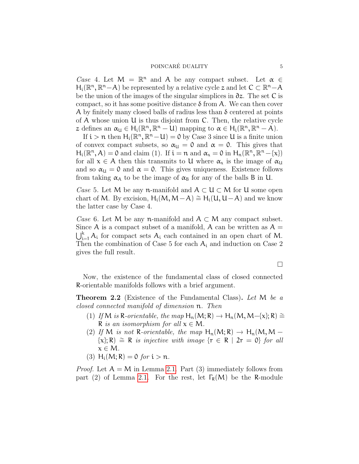Case 4. Let  $M = \mathbb{R}^n$  and A be any compact subset. Let  $\alpha \in$  $H_i(\mathbb{R}^n, \mathbb{R}^n - A)$  be represented by a relative cycle z and let  $C \subset \mathbb{R}^n - A$ be the union of the images of the singular simplices in ∂z. The set C is compact, so it has some positive distance  $\delta$  from A. We can then cover A by finitely many closed balls of radius less than  $\delta$  centered at points of A whose union U is thus disjoint from C. Then, the relative cycle z defines an  $\alpha_{\mathfrak{U}} \in H_i(\mathbb{R}^n, \mathbb{R}^n - \mathfrak{U})$  mapping to  $\alpha \in H_i(\mathbb{R}^n, \mathbb{R}^n - A)$ .

If  $i > n$  then  $H_i(\mathbb{R}^n, \mathbb{R}^n - U) = 0$  by Case 3 since U is a finite union of convex compact subsets, so  $\alpha_{\mathfrak{U}} = 0$  and  $\alpha = 0$ . This gives that  $H_i(\mathbb{R}^n, A) = 0$  and claim (1). If  $i = n$  and  $\alpha_x = 0$  in  $H_n(\mathbb{R}^n, \mathbb{R}^n - {\chi})$ for all  $x \in A$  then this transmits to U where  $\alpha_x$  is the image of  $\alpha_{\text{U}}$ and so  $\alpha_{\text{U}} = 0$  and  $\alpha = 0$ . This gives uniqueness. Existence follows from taking  $\alpha_A$  to be the image of  $\alpha_B$  for any of the balls B in U.

*Case* 5. Let M be any n-manifold and  $A \subset U \subset M$  for U some open chart of M. By excision,  $H_i(M, M-A) \cong H_i(U, U-A)$  and we know the latter case by Case 4.

Case 6. Let M be any n-manifold and  $A \subset M$  any compact subset. Since A is a compact subset of a manifold, A can be written as  $A =$  $\bigcup_{i=1}^{k} A_i$  for compact sets  $A_i$  each contained in an open chart of M. Then the combination of Case 5 for each  $A_i$  and induction on Case 2 gives the full result.

 $\Box$ 

Now, the existence of the fundamental class of closed connected R-orientable manifolds follows with a brief argument.

Theorem 2.2 (Existence of the Fundamental Class). Let M be a closed connected manifold of dimension n. Then

- (1) If M is R-orientable, the map  $H_n(M; R) \to H_n(M, M-\{x\}; R) \cong$ R is an isomorphism for all  $x \in M$ .
- (2) If M is not R-orientable, the map  $H_n(M; R) \to H_n(M, M \{x\}; R) \cong R$  is injective with image  $\{r \in R \mid 2r = 0\}$  for all  $x \in M$ .
- (3)  $H_i(M; R) = 0$  for  $i > n$ .

*Proof.* Let  $A = M$  in Lemma [2.1.](#page-3-0) Part (3) immediately follows from part (2) of Lemma [2.1.](#page-3-0) For the rest, let  $\Gamma_R(M)$  be the R-module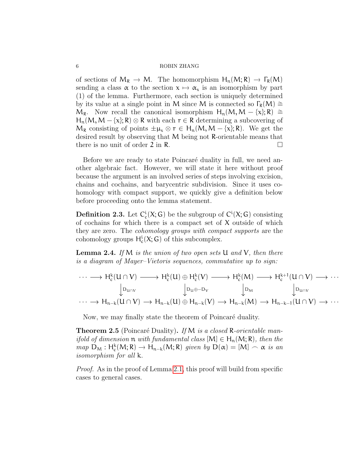of sections of  $M_R \to M$ . The homomorphism  $H_n(M; R) \to \Gamma_R(M)$ sending a class  $\alpha$  to the section  $x \mapsto \alpha_x$  is an isomorphism by part (1) of the lemma. Furthermore, each section is uniquely determined by its value at a single point in M since M is connected so  $\Gamma_R(M) \cong$  $M_R$ . Now recall the canonical isomorphism  $H_n(M, M - \{x\}; R) \cong$  $H_n(M, M - \{x\}; R) \otimes R$  with each  $r \in R$  determining a subcovering of  $M_R$  consisting of points  $\pm \mu_x \otimes r \in H_n(M, M - \{x\}; R)$ . We get the desired result by observing that M being not R-orientable means that there is no unit of order 2 in R.  $\Box$ 

Before we are ready to state Poincaré duality in full, we need another algebraic fact. However, we will state it here without proof because the argument is an involved series of steps involving excision, chains and cochains, and barycentric subdivision. Since it uses cohomology with compact support, we quickly give a definition below before proceeding onto the lemma statement.

**Definition 2.3.** Let  $C_c^i(X; G)$  be the subgroup of  $C^i(X; G)$  consisting of cochains for which there is a compact set of  $X$  outside of which they are zero. The cohomology groups with compact supports are the cohomology groups  $H_c^i(X; G)$  of this subcomplex.

<span id="page-5-0"></span>**Lemma 2.4.** If M is the union of two open sets  $U$  and  $V$ , then there is a diagram of Mayer–Vietoris sequences, commutative up to sign:

$$
\cdots \longrightarrow H_c^k(U \cap V) \longrightarrow H_c^k(U) \oplus H_c^k(V) \longrightarrow H_c^k(M) \longrightarrow H_c^{k+1}(U \cap V) \longrightarrow \cdots
$$
  
\n
$$
\downarrow_{D_{U \cap V}} \qquad \qquad \downarrow_{D_{U \oplus -D_V}} \qquad \qquad \downarrow_{D_M} \qquad \qquad \downarrow_{D_{U \cap V}} \qquad \qquad \downarrow_{D_{U \cap V}}
$$
  
\n
$$
\cdots \longrightarrow H_{n-k}(U \cap V) \longrightarrow H_{n-k}(U) \oplus H_{n-k}(V) \longrightarrow H_{n-k}(M) \longrightarrow H_{n-k-1}(U \cap V) \longrightarrow \cdots
$$

Now, we may finally state the theorem of Poincaré duality.

**Theorem 2.5** (Poincaré Duality). If M is a closed R-orientable man*ifold of dimension*  $\mathfrak n$  *with fundamental class*  $[M] \in H_n(M; R)$ *, then the*  $map \ D_M : H^k_c(M; R) \to H_{n-k}(M; R)$  given by  $D(\alpha) = [M] \frown \alpha$  is an isomorphism for all k.

Proof. As in the proof of Lemma [2.1,](#page-3-0) this proof will build from specific cases to general cases.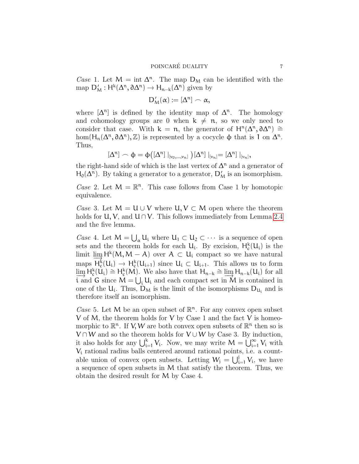Case 1. Let  $M = \text{int } \Delta^n$ . The map  $D_M$  can be identified with the map  $D'_M: H^k(\Delta^n, \partial \Delta^n) \to H_{n-k}(\Delta^n)$  given by

$$
D_M'(\alpha):=[\Delta^n]\frown\alpha,
$$

where  $[\Delta^n]$  is defined by the identity map of  $\Delta^n$ . The homology and cohomology groups are 0 when  $k \neq n$ , so we only need to consider that case. With  $k = n$ , the generator of  $H^{n}(\Delta^{n}, \partial \Delta^{n}) \cong$ hom( $H_n(\Delta^n, \partial \Delta^n), \mathbb{Z}$ ) is represented by a cocycle  $\phi$  that is 1 on  $\Delta^n$ . Thus,

$$
[\Delta^n]\frown \varphi=\varphi\big([\Delta^n]\mid_{[\nu_0,\ldots,\nu_n]}\big)[\Delta^n]\mid_{[\nu_n]}=[\Delta^n]\mid_{[\nu_n]},
$$

the right-hand side of which is the last vertex of  $\Delta^n$  and a generator of  $H_0(\Delta^n)$ . By taking a generator to a generator,  $D'_M$  is an isomorphism.

Case 2. Let  $M = \mathbb{R}^n$ . This case follows from Case 1 by homotopic equivalence.

*Case* 3. Let  $M = U \cup V$  where  $U, V \subset M$  open where the theorem holds for  $U, V$ , and  $U \cap V$ . This follows immediately from Lemma [2.4](#page-5-0) and the five lemma.

Case 4. Let  $M = \bigcup_{\alpha} U_i$  where  $U_1 \subset U_2 \subset \cdots$  is a sequence of open sets and the theorem holds for each  $U_i$ . By excision,  $H_c^k(U_i)$  is the limit  $\lim_{M \to \infty} H^k(M, M - A)$  over  $A \subset U_i$  compact so we have natural maps  $H^k(U_i) \to H^k(U_{i+1})$  since  $U_i \subset U_{i+1}$ . This allows us to form maps  $H_c^k(U_i) \to H_c^k(U_{i+1})$  since  $U_i \subset U_{i+1}$ . This allows us to form<br>lime  $H_c^k(U_i) \simeq H_c^k(U_i)$ . We also have that  $U_i \simeq \lim_{\epsilon \to 0} H_c^k(U_i)$  for all  $\varinjlim_{i \text{ and } G} H_c^k(\tilde{U}_i) \stackrel{\sim}{=} H_c^k$ (M). We also have that  $H_{n-k} \cong \varinjlim_{n-k} H_{n-k}(U_i)$  for all  $= \iota \cdot L_i$  and each compact set in M is contained in i and G since  $M = \bigcup_i U_i$  and each compact set in  $\dot{M}$  is contained in one of the  $U_i$ . Thus,  $D_M$  is the limit of the isomorphisms  $D_{U_i}$  and is therefore itself an isomorphism.

Case 5. Let M be an open subset of  $\mathbb{R}^n$ . For any convex open subset V of M, the theorem holds for V by Case 1 and the fact V is homeomorphic to  $\mathbb{R}^n$ . If V, W are both convex open subsets of  $\mathbb{R}^n$  then so is  $V \cap W$  and so the theorem holds for  $V \cup W$  by Case 3. By induction, it also holds for any  $\bigcup_{i=1}^{k} V_i$ . Now, we may write  $M = \bigcup_{i=1}^{\infty} V_i$  with V<sup>i</sup> rational radius balls centered around rational points, i.e. a countable union of convex open subsets. Letting  $W_j = \bigcup_{i=1}^j V_i$ , we have a sequence of open subsets in M that satisfy the theorem. Thus, we obtain the desired result for M by Case 4.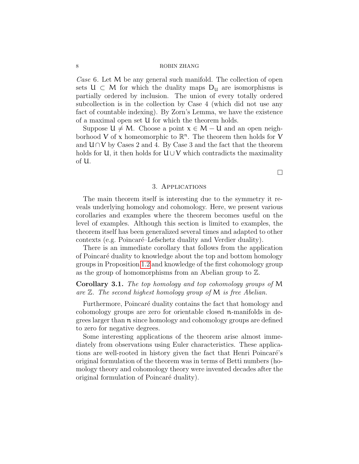Case 6. Let M be any general such manifold. The collection of open sets  $U \subset M$  for which the duality maps  $D_u$  are isomorphisms is partially ordered by inclusion. The union of every totally ordered subcollection is in the collection by Case 4 (which did not use any fact of countable indexing). By Zorn's Lemma, we have the existence of a maximal open set U for which the theorem holds.

Suppose  $U \neq M$ . Choose a point  $x \in M - U$  and an open neighborhood V of x homeomorphic to  $\mathbb{R}^n$ . The theorem then holds for V and  $U \cap V$  by Cases 2 and 4. By Case 3 and the fact that the theorem holds for U, it then holds for  $U \cup V$  which contradicts the maximality of U.

## 3. Applications

 $\Box$ 

The main theorem itself is interesting due to the symmetry it reveals underlying homology and cohomology. Here, we present various corollaries and examples where the theorem becomes useful on the level of examples. Although this section is limited to examples, the theorem itself has been generalized several times and adapted to other contexts (e.g. Poincaré–Lefschetz duality and Verdier duality).

There is an immediate corollary that follows from the application of Poincar´e duality to knowledge about the top and bottom homology groups in Proposition [1.2](#page-1-0) and knowledge of the first cohomology group as the group of homomorphisms from an Abelian group to Z.

Corollary 3.1. The top homology and top cohomology groups of M are  $\mathbb{Z}$ . The second highest homology group of M is free Abelian.

Furthermore, Poincaré duality contains the fact that homology and cohomology groups are zero for orientable closed n-manifolds in degrees larger than n since homology and cohomology groups are defined to zero for negative degrees.

Some interesting applications of the theorem arise almost immediately from observations using Euler characteristics. These applications are well-rooted in history given the fact that Henri Poincaré's original formulation of the theorem was in terms of Betti numbers (homology theory and cohomology theory were invented decades after the original formulation of Poincaré duality).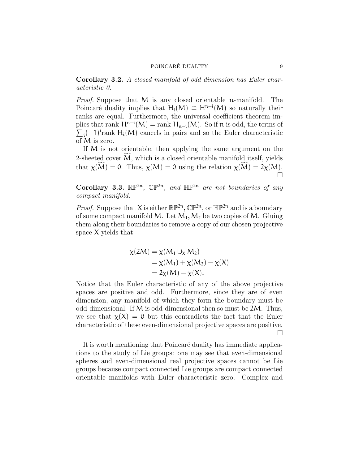Corollary 3.2. A closed manifold of odd dimension has Euler characteristic 0.

Proof. Suppose that M is any closed orientable n-manifold. The Poincaré duality implies that  $H_i(M) \cong H^{n-i}(M)$  so naturally their ranks are equal. Furthermore, the universal coefficient theorem implies that rank  $H^{n-i}(M) = \text{rank } H_{n-i}(M)$ . So if  $n$  is odd, the terms of  $\sum_i (-1)^i$ rank H<sub>i</sub>(M) cancels in pairs and so the Euler characteristic of M is zero.

If M is not orientable, then applying the same argument on the 2-sheeted cover  $M$ , which is a closed orientable manifold itself, yields that  $\chi(\widetilde{M}) = 0$ . Thus,  $\chi(M) = 0$  using the relation  $\chi(\widetilde{M}) = 2\chi(M)$ .  $\Box$ 

Corollary 3.3.  $\mathbb{RP}^{2n}$ ,  $\mathbb{CP}^{2n}$ , and  $\mathbb{HP}^{2n}$  are not boundaries of any compact manifold.

*Proof.* Suppose that X is either  $\mathbb{RP}^{2n}$ ,  $\mathbb{CP}^{2n}$ , or  $\mathbb{HP}^{2n}$  and is a boundary of some compact manifold M. Let  $M_1, M_2$  be two copies of M. Gluing them along their boundaries to remove a copy of our chosen projective space X yields that

$$
\chi(2M) = \chi(M_1 \cup_X M_2)
$$
  
=  $\chi(M_1) + \chi(M_2) - \chi(X)$   
=  $2\chi(M) - \chi(X)$ .

Notice that the Euler characteristic of any of the above projective spaces are positive and odd. Furthermore, since they are of even dimension, any manifold of which they form the boundary must be odd-dimensional. If M is odd-dimensional then so must be 2M. Thus, we see that  $\chi(X) = 0$  but this contradicts the fact that the Euler characteristic of these even-dimensional projective spaces are positive.  $\Box$ 

It is worth mentioning that Poincaré duality has immediate applications to the study of Lie groups: one may see that even-dimensional spheres and even-dimensional real projective spaces cannot be Lie groups because compact connected Lie groups are compact connected orientable manifolds with Euler characteristic zero. Complex and